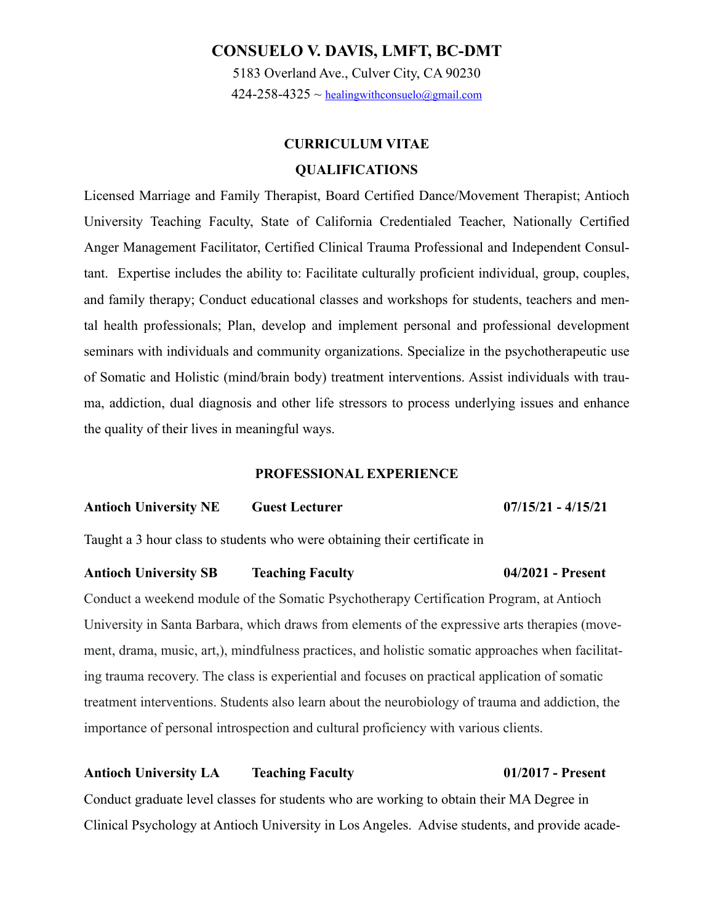# **CONSUELO V. DAVIS, LMFT, BC-DMT**

5183 Overland Ave., Culver City, CA 90230  $424-258-4325 \sim$  [healingwithconsuelo@gmail.com](mailto:healingwithconsuelo@gmail.com)

# **CURRICULUM VITAE QUALIFICATIONS**

Licensed Marriage and Family Therapist, Board Certified Dance/Movement Therapist; Antioch University Teaching Faculty, State of California Credentialed Teacher, Nationally Certified Anger Management Facilitator, Certified Clinical Trauma Professional and Independent Consultant. Expertise includes the ability to: Facilitate culturally proficient individual, group, couples, and family therapy; Conduct educational classes and workshops for students, teachers and mental health professionals; Plan, develop and implement personal and professional development seminars with individuals and community organizations. Specialize in the psychotherapeutic use of Somatic and Holistic (mind/brain body) treatment interventions. Assist individuals with trauma, addiction, dual diagnosis and other life stressors to process underlying issues and enhance the quality of their lives in meaningful ways.

#### **PROFESSIONAL EXPERIENCE**

**Antioch University NE Guest Lecturer 07/15/21 - 4/15/21** 

Taught a 3 hour class to students who were obtaining their certificate in

#### **Antioch University SB Teaching Faculty 04/2021 - Present**

Conduct a weekend module of the Somatic Psychotherapy Certification Program, at Antioch University in Santa Barbara, which draws from elements of the expressive arts therapies (movement, drama, music, art,), mindfulness practices, and holistic somatic approaches when facilitating trauma recovery. The class is experiential and focuses on practical application of somatic treatment interventions. Students also learn about the neurobiology of trauma and addiction, the importance of personal introspection and cultural proficiency with various clients.

## **Antioch University LA Teaching Faculty 01/2017 - Present**

Conduct graduate level classes for students who are working to obtain their MA Degree in Clinical Psychology at Antioch University in Los Angeles. Advise students, and provide acade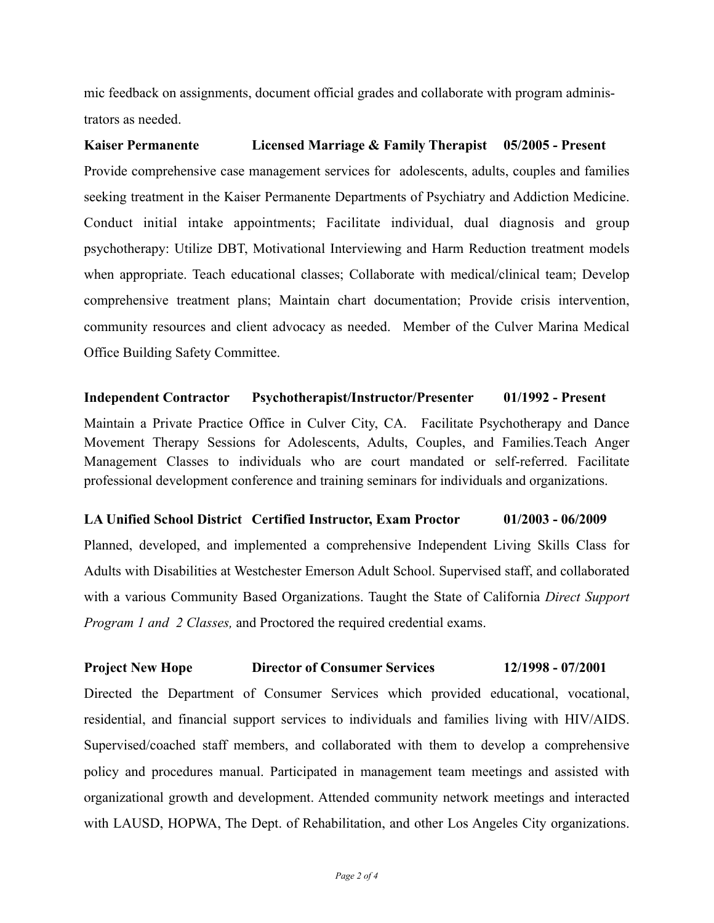mic feedback on assignments, document official grades and collaborate with program administrators as needed.

**Kaiser Permanente Licensed Marriage & Family Therapist 05/2005 - Present**  Provide comprehensive case management services for adolescents, adults, couples and families seeking treatment in the Kaiser Permanente Departments of Psychiatry and Addiction Medicine. Conduct initial intake appointments; Facilitate individual, dual diagnosis and group psychotherapy: Utilize DBT, Motivational Interviewing and Harm Reduction treatment models when appropriate. Teach educational classes; Collaborate with medical/clinical team; Develop comprehensive treatment plans; Maintain chart documentation; Provide crisis intervention, community resources and client advocacy as needed. Member of the Culver Marina Medical Office Building Safety Committee.

# **Independent Contractor Psychotherapist/Instructor/Presenter 01/1992 - Present**

Maintain a Private Practice Office in Culver City, CA. Facilitate Psychotherapy and Dance Movement Therapy Sessions for Adolescents, Adults, Couples, and Families.Teach Anger Management Classes to individuals who are court mandated or self-referred. Facilitate professional development conference and training seminars for individuals and organizations.

# **LA Unified School District Certified Instructor, Exam Proctor 01/2003 - 06/2009**

Planned, developed, and implemented a comprehensive Independent Living Skills Class for Adults with Disabilities at Westchester Emerson Adult School. Supervised staff, and collaborated with a various Community Based Organizations. Taught the State of California *Direct Support Program 1 and 2 Classes,* and Proctored the required credential exams.

# **Project New Hope Director of Consumer Services 12/1998 - 07/2001**

Directed the Department of Consumer Services which provided educational, vocational, residential, and financial support services to individuals and families living with HIV/AIDS. Supervised/coached staff members, and collaborated with them to develop a comprehensive policy and procedures manual. Participated in management team meetings and assisted with organizational growth and development. Attended community network meetings and interacted with LAUSD, HOPWA, The Dept. of Rehabilitation, and other Los Angeles City organizations.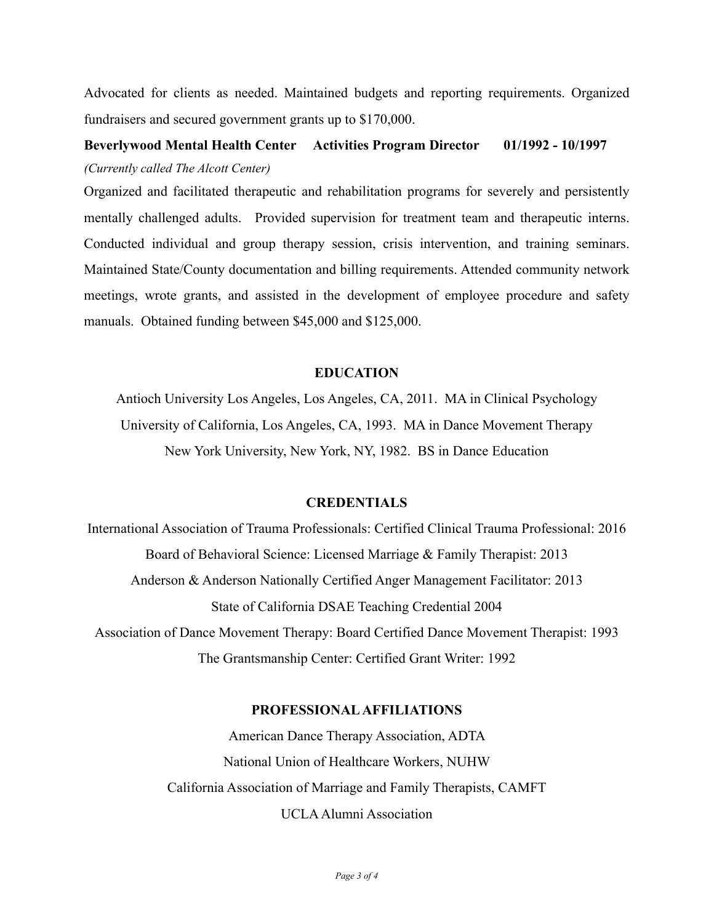Advocated for clients as needed. Maintained budgets and reporting requirements. Organized fundraisers and secured government grants up to \$170,000.

# **Beverlywood Mental Health Center Activities Program Director 01/1992 - 10/1997**  *(Currently called The Alcott Center)*

Organized and facilitated therapeutic and rehabilitation programs for severely and persistently mentally challenged adults. Provided supervision for treatment team and therapeutic interns. Conducted individual and group therapy session, crisis intervention, and training seminars. Maintained State/County documentation and billing requirements. Attended community network meetings, wrote grants, and assisted in the development of employee procedure and safety manuals. Obtained funding between \$45,000 and \$125,000.

# **EDUCATION**

Antioch University Los Angeles, Los Angeles, CA, 2011. MA in Clinical Psychology University of California, Los Angeles, CA, 1993. MA in Dance Movement Therapy New York University, New York, NY, 1982. BS in Dance Education

## **CREDENTIALS**

International Association of Trauma Professionals: Certified Clinical Trauma Professional: 2016 Board of Behavioral Science: Licensed Marriage & Family Therapist: 2013 Anderson & Anderson Nationally Certified Anger Management Facilitator: 2013 State of California DSAE Teaching Credential 2004 Association of Dance Movement Therapy: Board Certified Dance Movement Therapist: 1993 The Grantsmanship Center: Certified Grant Writer: 1992

## **PROFESSIONAL AFFILIATIONS**

American Dance Therapy Association, ADTA National Union of Healthcare Workers, NUHW California Association of Marriage and Family Therapists, CAMFT UCLA Alumni Association